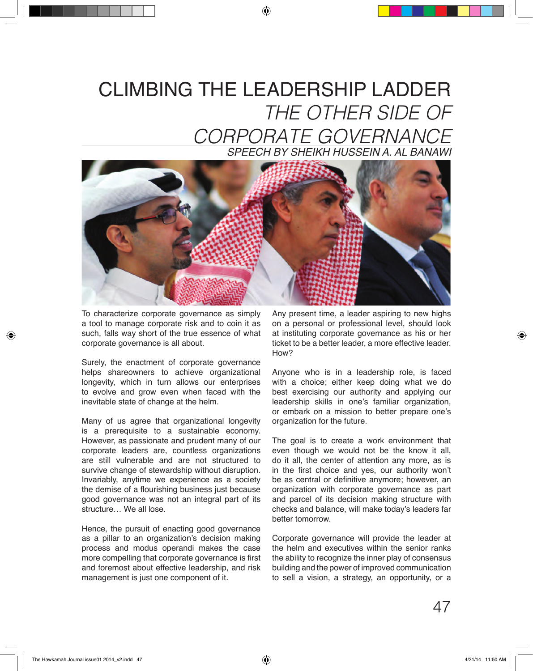## CLIMBING THE LEADERSHIP LADDER *THE OTHER SIDE OF CORPORATE GOVERNANCE*



To characterize corporate governance as simply a tool to manage corporate risk and to coin it as such, falls way short of the true essence of what corporate governance is all about.

Surely, the enactment of corporate governance helps shareowners to achieve organizational longevity, which in turn allows our enterprises to evolve and grow even when faced with the inevitable state of change at the helm.

Many of us agree that organizational longevity is a prerequisite to a sustainable economy. However, as passionate and prudent many of our corporate leaders are, countless organizations are still vulnerable and are not structured to survive change of stewardship without disruption. Invariably, anytime we experience as a society the demise of a flourishing business just because good governance was not an integral part of its structure… We all lose.

Hence, the pursuit of enacting good governance as a pillar to an organization's decision making process and modus operandi makes the case more compelling that corporate governance is first and foremost about effective leadership, and risk management is just one component of it.

Any present time, a leader aspiring to new highs on a personal or professional level, should look at instituting corporate governance as his or her ticket to be a better leader, a more effective leader. How?

Anyone who is in a leadership role, is faced with a choice; either keep doing what we do best exercising our authority and applying our leadership skills in one's familiar organization, or embark on a mission to better prepare one's organization for the future.

The goal is to create a work environment that even though we would not be the know it all, do it all, the center of attention any more, as is in the first choice and yes, our authority won't be as central or definitive anymore; however, an organization with corporate governance as part and parcel of its decision making structure with checks and balance, will make today's leaders far better tomorrow.

Corporate governance will provide the leader at the helm and executives within the senior ranks the ability to recognize the inner play of consensus building and the power of improved communication to sell a vision, a strategy, an opportunity, or a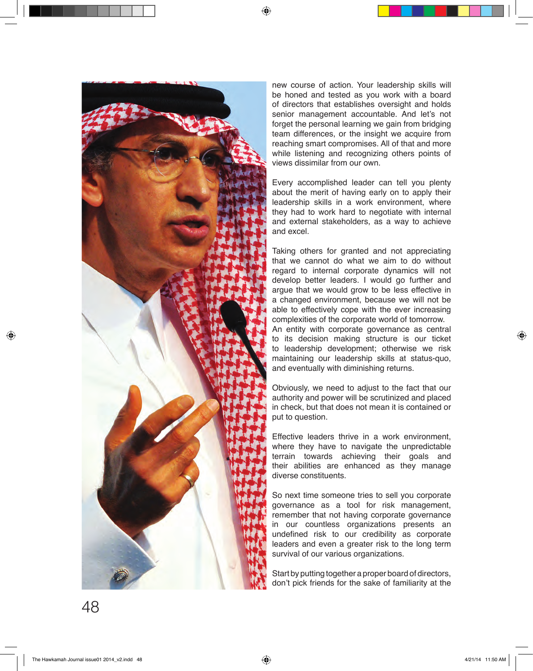

new course of action. Your leadership skills will be honed and tested as you work with a board of directors that establishes oversight and holds senior management accountable. And let's not forget the personal learning we gain from bridging team differences, or the insight we acquire from reaching smart compromises. All of that and more while listening and recognizing others points of views dissimilar from our own.

Every accomplished leader can tell you plenty about the merit of having early on to apply their leadership skills in a work environment, where they had to work hard to negotiate with internal and external stakeholders, as a way to achieve and excel.

Taking others for granted and not appreciating that we cannot do what we aim to do without regard to internal corporate dynamics will not develop better leaders. I would go further and argue that we would grow to be less effective in a changed environment, because we will not be able to effectively cope with the ever increasing complexities of the corporate world of tomorrow. An entity with corporate governance as central to its decision making structure is our ticket to leadership development; otherwise we risk maintaining our leadership skills at status-quo, and eventually with diminishing returns.

Obviously, we need to adjust to the fact that our authority and power will be scrutinized and placed in check, but that does not mean it is contained or put to question.

Effective leaders thrive in a work environment, where they have to navigate the unpredictable terrain towards achieving their goals and their abilities are enhanced as they manage diverse constituents.

So next time someone tries to sell you corporate governance as a tool for risk management, remember that not having corporate governance in our countless organizations presents an undefined risk to our credibility as corporate leaders and even a greater risk to the long term survival of our various organizations.

Start by putting together a proper board of directors, don't pick friends for the sake of familiarity at the